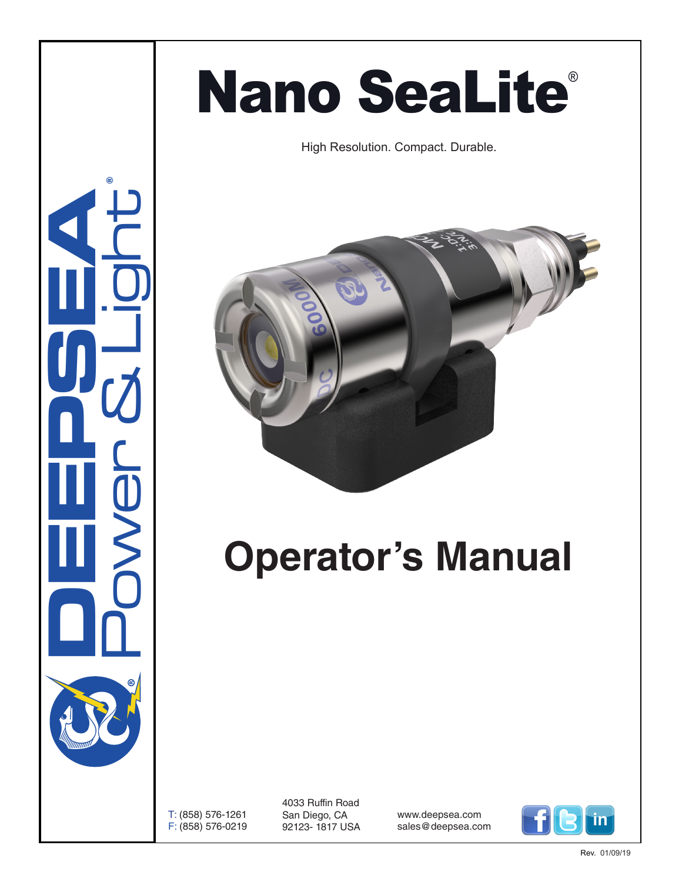# **Nano SeaLite®**

High Resolution. Compact. Durable.



# **Operator's Manual**

T: (858) 576-1261 F: (858) 576-0219 4033 Ruffin Road San Diego, CA 92123- 1817 USA

www.deepsea.com sales@deepsea.com



**CONSUMERING** Power & Light ®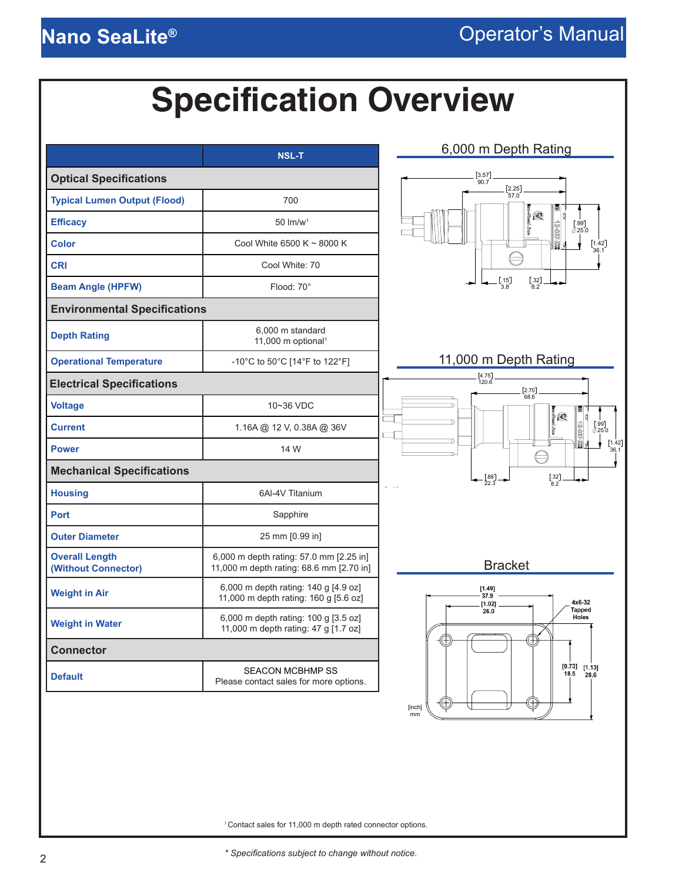## **Specification Overview**

<span id="page-1-0"></span>

|                                              | <b>NSL-T</b>                                                                        | 6,000 m Depth Rating                                                                                                |
|----------------------------------------------|-------------------------------------------------------------------------------------|---------------------------------------------------------------------------------------------------------------------|
| <b>Optical Specifications</b>                |                                                                                     | $\left[3.57\right]$<br>90.7                                                                                         |
| <b>Typical Lumen Output (Flood)</b>          | 700                                                                                 | $[2.25]$<br>57.0                                                                                                    |
| <b>Efficacy</b>                              | $50 \text{ Im/w}^1$                                                                 | ŀ®<br>[.99]<br>0.25.0                                                                                               |
| <b>Color</b>                                 | Cool White 6500 K ~ 8000 K                                                          | $\begin{bmatrix} 1.42 \\ 36.1 \end{bmatrix}$                                                                        |
| <b>CRI</b>                                   | Cool White: 70                                                                      |                                                                                                                     |
| <b>Beam Angle (HPFW)</b>                     | Flood: 70°                                                                          | $\left[ .32\right] 8.2$<br>[.15]<br>3.8                                                                             |
| <b>Environmental Specifications</b>          |                                                                                     |                                                                                                                     |
| <b>Depth Rating</b>                          | 6,000 m standard<br>11,000 m optional <sup>1</sup>                                  |                                                                                                                     |
| <b>Operational Temperature</b>               | -10°C to 50°C [14°F to 122°F]                                                       | 11,000 m Depth Rating                                                                                               |
| <b>Electrical Specifications</b>             |                                                                                     | $\begin{bmatrix} 4.75 \\ 120.6 \end{bmatrix}$<br>$\left[ \begin{smallmatrix} 2.70\\ 68.6 \end{smallmatrix} \right]$ |
| <b>Voltage</b>                               | 10~36 VDC                                                                           | jQ                                                                                                                  |
| <b>Current</b>                               | 1.16A @ 12 V, 0.38A @ 36V                                                           | $\begin{bmatrix} .99 \\ \hline 25.0 \end{bmatrix}$<br>12-037-WI                                                     |
| <b>Power</b>                                 | 14 W                                                                                | $\left[\begin{smallmatrix} 1.42\\ 36.1 \end{smallmatrix}\right]$                                                    |
| <b>Mechanical Specifications</b>             |                                                                                     | $\begin{bmatrix} .32 \\ 8.2 \end{bmatrix}$<br>$\begin{bmatrix} .88 \\ 22.3 \end{bmatrix}$                           |
| <b>Housing</b>                               | 6AI-4V Titanium                                                                     |                                                                                                                     |
| <b>Port</b>                                  | Sapphire                                                                            |                                                                                                                     |
| <b>Outer Diameter</b>                        | 25 mm [0.99 in]                                                                     |                                                                                                                     |
| <b>Overall Length</b><br>(Without Connector) | 6,000 m depth rating: 57.0 mm [2.25 in]<br>11,000 m depth rating: 68.6 mm [2.70 in] | <b>Bracket</b>                                                                                                      |
| <b>Weight in Air</b>                         | 6,000 m depth rating: 140 g [4.9 oz]<br>11,000 m depth rating: 160 g [5.6 oz]       | [1.49]<br>37.9<br>4x6-32<br>[1.02]                                                                                  |
| <b>Weight in Water</b>                       | 6,000 m depth rating: 100 g [3.5 oz]<br>11,000 m depth rating: 47 g [1.7 oz]        | <b>Tapped</b><br>26.0<br>Holes                                                                                      |
| <b>Connector</b>                             |                                                                                     | ₩                                                                                                                   |
| <b>Default</b>                               | <b>SEACON MCBHMP SS</b><br>Please contact sales for more options.                   | $[0.73]$ $[1.13]$<br>18.5 28.6                                                                                      |
|                                              |                                                                                     | [inch]<br>mm                                                                                                        |

<sup>1</sup> Contact sales for 11,000 m depth rated connector options.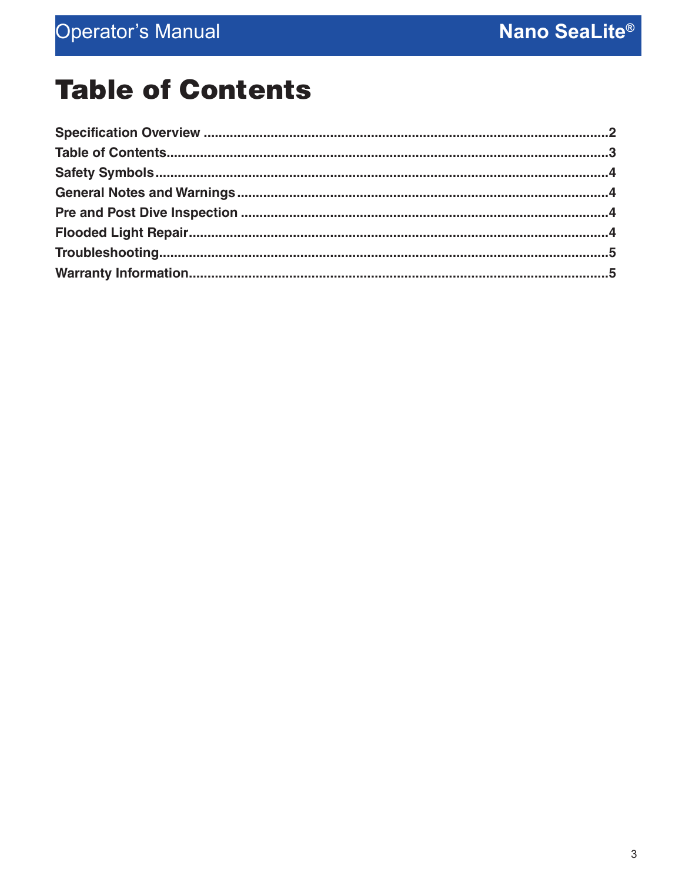### **Table of Contents**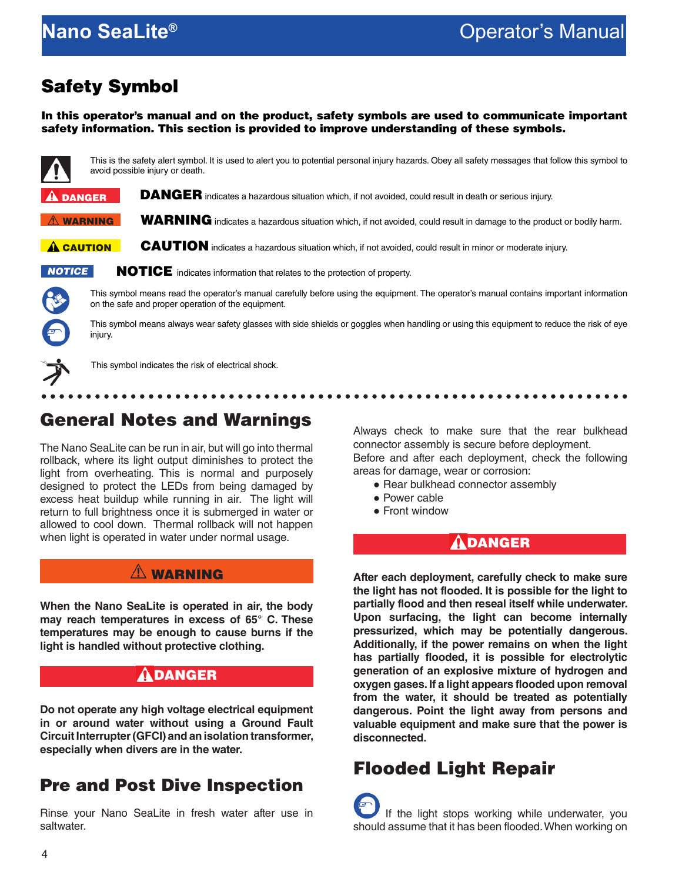#### <span id="page-3-0"></span>Safety Symbol

In this operator's manual and on the product, safety symbols are used to communicate important safety information. This section is provided to improve understanding of these symbols.



This is the safety alert symbol. It is used to alert you to potential personal injury hazards. Obey all safety messages that follow this symbol to avoid possible injury or death.

DANGER indicates a hazardous situation which, if not avoided, could result in death or serious injury.  $\mathbf{\hat{a}}$  danger

WARNING indicates a hazardous situation which, if not avoided, could result in damage to the product or bodily harm.  $\hat{N}$  warning

CAUTION indicates a hazardous situation which, if not avoided, could result in minor or moderate injury. **A CAUTION** 

*NOTICE*

NOTICE indicates information that relates to the protection of property.

This symbol means read the operator's manual carefully before using the equipment. The operator's manual contains important information on the safe and proper operation of the equipment.

This symbol means always wear safety glasses with side shields or goggles when handling or using this equipment to reduce the risk of eye injury.



This symbol indicates the risk of electrical shock.

### General Notes and Warnings

The Nano SeaLite can be run in air, but will go into thermal rollback, where its light output diminishes to protect the light from overheating. This is normal and purposely designed to protect the LEDs from being damaged by excess heat buildup while running in air. The light will return to full brightness once it is submerged in water or allowed to cool down. Thermal rollback will not happen when light is operated in water under normal usage.

#### **AN WARNING**

**When the Nano SeaLite is operated in air, the body may reach temperatures in excess of 65° C. These temperatures may be enough to cause burns if the light is handled without protective clothing.**

#### DANGER

**Do not operate any high voltage electrical equipment in or around water without using a Ground Fault Circuit Interrupter (GFCI) and an isolation transformer, especially when divers are in the water.**

#### Pre and Post Dive Inspection

Rinse your Nano SeaLite in fresh water after use in saltwater.

Always check to make sure that the rear bulkhead connector assembly is secure before deployment.

.....................

Before and after each deployment, check the following areas for damage, wear or corrosion:

- Rear bulkhead connector assembly
- Power cable
- Front window

#### **ADANGER**

**After each deployment, carefully check to make sure the light has not flooded. It is possible for the light to partially flood and then reseal itself while underwater. Upon surfacing, the light can become internally pressurized, which may be potentially dangerous. Additionally, if the power remains on when the light has partially flooded, it is possible for electrolytic generation of an explosive mixture of hydrogen and oxygen gases. If a light appears flooded upon removal from the water, it should be treated as potentially dangerous. Point the light away from persons and valuable equipment and make sure that the power is disconnected.**

#### Flooded Light Repair

 If the light stops working while underwater, you should assume that it has been flooded. When working on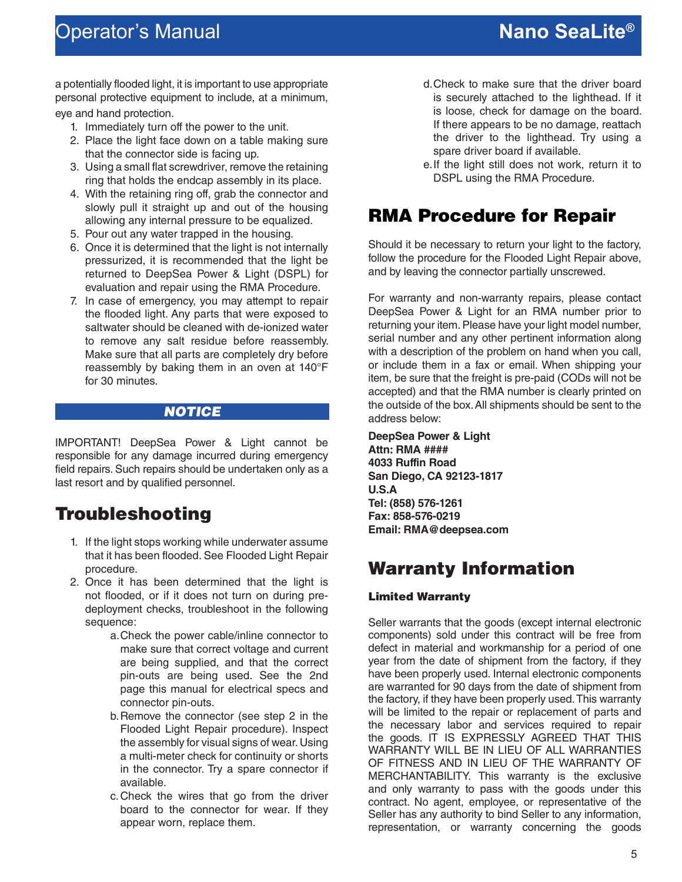### <span id="page-4-0"></span>**Nano SeaLite** Operator's Manual **®**

a potentially flooded light, it is important to use appropriate personal protective equipment to include, at a minimum, eye and hand protection.

- 1. Immediately turn off the power to the unit.
- 2. Place the light face down on a table making sure that the connector side is facing up.
- 3. Using a small flat screwdriver, remove the retaining ring that holds the endcap assembly in its place.
- 4. With the retaining ring off, grab the connector and slowly pull it straight up and out of the housing allowing any internal pressure to be equalized.
- 5. Pour out any water trapped in the housing.
- 6. Once it is determined that the light is not internally pressurized, it is recommended that the light be returned to DeepSea Power & Light (DSPL) for evaluation and repair using the RMA Procedure.
- 7. In case of emergency, you may attempt to repair the flooded light. Any parts that were exposed to saltwater should be cleaned with de-ionized water to remove any salt residue before reassembly. Make sure that all parts are completely dry before reassembly by baking them in an oven at 140°F for 30 minutes.

#### NOTICE

IMPORTANT! DeepSea Power & Light cannot be responsible for any damage incurred during emergency field repairs. Such repairs should be undertaken only as a last resort and by qualified personnel.

#### Troubleshooting

- 1. If the light stops working while underwater assume that it has been flooded. See Flooded Light Repair procedure.
- 2. Once it has been determined that the light is not flooded, or if it does not turn on during predeployment checks, troubleshoot in the following sequence:
	- a.Check the power cable/inline connector to make sure that correct voltage and current are being supplied, and that the correct pin-outs are being used. See the 2nd page this manual for electrical specs and connector pin-outs.
	- b.Remove the connector (see step 2 in the Flooded Light Repair procedure). Inspect the assembly for visual signs of wear. Using a multi-meter check for continuity or shorts in the connector. Try a spare connector if available.
	- c.Check the wires that go from the driver board to the connector for wear. If they appear worn, replace them.
- d.Check to make sure that the driver board is securely attached to the lighthead. If it is loose, check for damage on the board. If there appears to be no damage, reattach the driver to the lighthead. Try using a spare driver board if available.
- e.If the light still does not work, return it to DSPL using the RMA Procedure.

#### RMA Procedure for Repair

Should it be necessary to return your light to the factory, follow the procedure for the Flooded Light Repair above, and by leaving the connector partially unscrewed.

For warranty and non-warranty repairs, please contact DeepSea Power & Light for an RMA number prior to returning your item. Please have your light model number, serial number and any other pertinent information along with a description of the problem on hand when you call, or include them in a fax or email. When shipping your item, be sure that the freight is pre-paid (CODs will not be accepted) and that the RMA number is clearly printed on the outside of the box. All shipments should be sent to the address below:

**DeepSea Power & Light Attn: RMA #### 4033 Ruffin Road San Diego, CA 92123-1817 U.S.A Tel: (858) 576-1261 Fax: 858-576-0219 Email: RMA@deepsea.com**

#### Warranty Information

#### Limited Warranty

Seller warrants that the goods (except internal electronic components) sold under this contract will be free from defect in material and workmanship for a period of one year from the date of shipment from the factory, if they have been properly used. Internal electronic components are warranted for 90 days from the date of shipment from the factory, if they have been properly used. This warranty will be limited to the repair or replacement of parts and the necessary labor and services required to repair the goods. IT IS EXPRESSLY AGREED THAT THIS WARRANTY WILL BE IN LIEU OF ALL WARRANTIES OF FITNESS AND IN LIEU OF THE WARRANTY OF MERCHANTABILITY. This warranty is the exclusive and only warranty to pass with the goods under this contract. No agent, employee, or representative of the Seller has any authority to bind Seller to any information, representation, or warranty concerning the goods